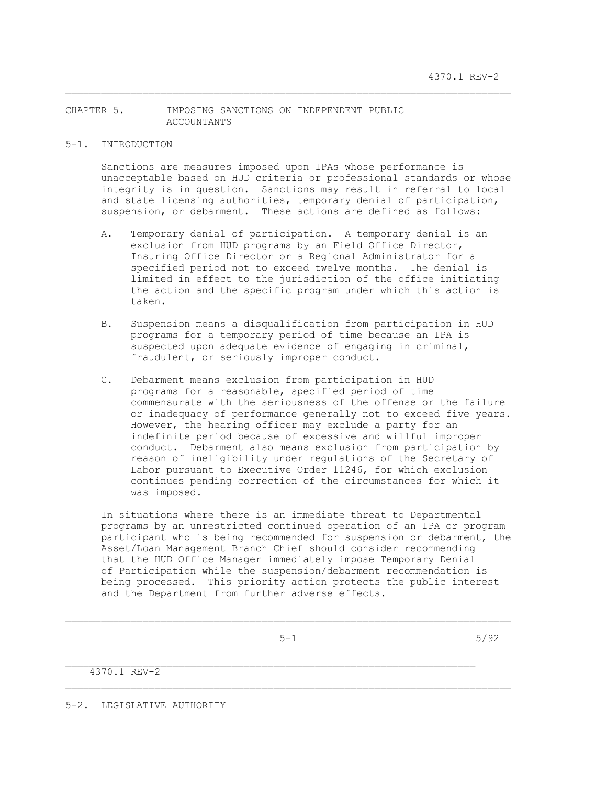# CHAPTER 5. IMPOSING SANCTIONS ON INDEPENDENT PUBLIC ACCOUNTANTS

#### 5-1. INTRODUCTION

 Sanctions are measures imposed upon IPAs whose performance is unacceptable based on HUD criteria or professional standards or whose integrity is in question. Sanctions may result in referral to local and state licensing authorities, temporary denial of participation, suspension, or debarment. These actions are defined as follows:

\_\_\_\_\_\_\_\_\_\_\_\_\_\_\_\_\_\_\_\_\_\_\_\_\_\_\_\_\_\_\_\_\_\_\_\_\_\_\_\_\_\_\_\_\_\_\_\_\_\_\_\_\_\_\_\_\_\_\_\_\_\_\_\_\_\_\_\_\_\_\_\_\_\_\_

- A. Temporary denial of participation. A temporary denial is an exclusion from HUD programs by an Field Office Director, Insuring Office Director or a Regional Administrator for a specified period not to exceed twelve months. The denial is limited in effect to the jurisdiction of the office initiating the action and the specific program under which this action is taken.
- B. Suspension means a disqualification from participation in HUD programs for a temporary period of time because an IPA is suspected upon adequate evidence of engaging in criminal, fraudulent, or seriously improper conduct.
- C. Debarment means exclusion from participation in HUD programs for a reasonable, specified period of time commensurate with the seriousness of the offense or the failure or inadequacy of performance generally not to exceed five years. However, the hearing officer may exclude a party for an indefinite period because of excessive and willful improper conduct. Debarment also means exclusion from participation by reason of ineligibility under regulations of the Secretary of Labor pursuant to Executive Order 11246, for which exclusion continues pending correction of the circumstances for which it was imposed.

 In situations where there is an immediate threat to Departmental programs by an unrestricted continued operation of an IPA or program participant who is being recommended for suspension or debarment, the Asset/Loan Management Branch Chief should consider recommending that the HUD Office Manager immediately impose Temporary Denial of Participation while the suspension/debarment recommendation is being processed. This priority action protects the public interest and the Department from further adverse effects.

 $\mathcal{L}_\text{max}$ 

 $5-1$  5/92

4370.1 REV-2

5-2. LEGISLATIVE AUTHORITY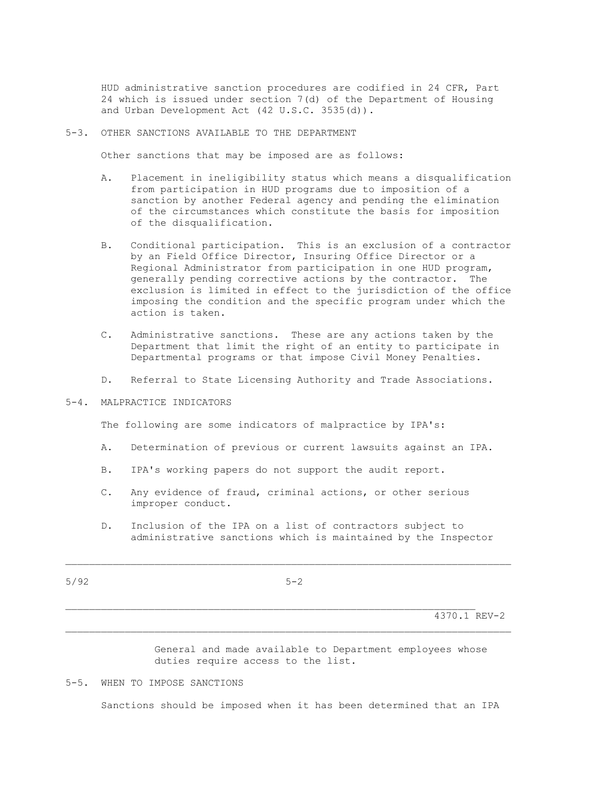HUD administrative sanction procedures are codified in 24 CFR, Part 24 which is issued under section 7(d) of the Department of Housing and Urban Development Act (42 U.S.C. 3535(d)).

#### 5-3. OTHER SANCTIONS AVAILABLE TO THE DEPARTMENT

Other sanctions that may be imposed are as follows:

- A. Placement in ineligibility status which means a disqualification from participation in HUD programs due to imposition of a sanction by another Federal agency and pending the elimination of the circumstances which constitute the basis for imposition of the disqualification.
- B. Conditional participation. This is an exclusion of a contractor by an Field Office Director, Insuring Office Director or a Regional Administrator from participation in one HUD program, generally pending corrective actions by the contractor. The exclusion is limited in effect to the jurisdiction of the office imposing the condition and the specific program under which the action is taken.
	- C. Administrative sanctions. These are any actions taken by the Department that limit the right of an entity to participate in Departmental programs or that impose Civil Money Penalties.
	- D. Referral to State Licensing Authority and Trade Associations.
- 5-4. MALPRACTICE INDICATORS

The following are some indicators of malpractice by IPA's:

- A. Determination of previous or current lawsuits against an IPA.
- B. IPA's working papers do not support the audit report.
- C. Any evidence of fraud, criminal actions, or other serious improper conduct.
- D. Inclusion of the IPA on a list of contractors subject to administrative sanctions which is maintained by the Inspector

 $5/92$   $5-2$ 

 $\mathcal{L}_\text{max}$ 

 $\mathcal{L}_\text{max}$ 

4370.1 REV-2

 General and made available to Department employees whose duties require access to the list.

### 5-5. WHEN TO IMPOSE SANCTIONS

Sanctions should be imposed when it has been determined that an IPA